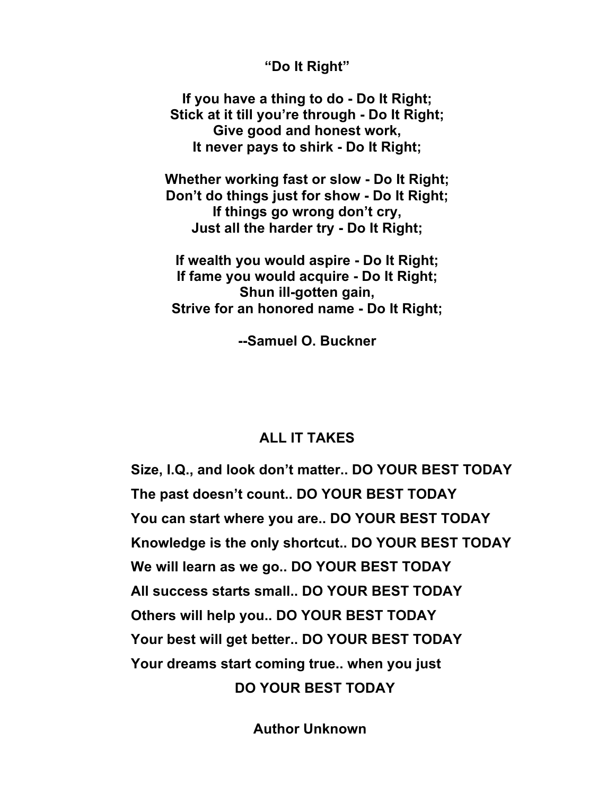## **"Do It Right"**

**If you have a thing to do - Do It Right; Stick at it till you're through - Do It Right; Give good and honest work, It never pays to shirk - Do It Right;**

**Whether working fast or slow - Do It Right; Don't do things just for show - Do It Right; If things go wrong don't cry, Just all the harder try - Do It Right;**

**If wealth you would aspire - Do It Right; If fame you would acquire - Do It Right; Shun ill-gotten gain, Strive for an honored name - Do It Right;**

**--Samuel O. Buckner**

## **ALL IT TAKES**

**Size, I.Q., and look don't matter.. DO YOUR BEST TODAY The past doesn't count.. DO YOUR BEST TODAY You can start where you are.. DO YOUR BEST TODAY Knowledge is the only shortcut.. DO YOUR BEST TODAY We will learn as we go.. DO YOUR BEST TODAY All success starts small.. DO YOUR BEST TODAY Others will help you.. DO YOUR BEST TODAY Your best will get better.. DO YOUR BEST TODAY Your dreams start coming true.. when you just DO YOUR BEST TODAY**

 **Author Unknown**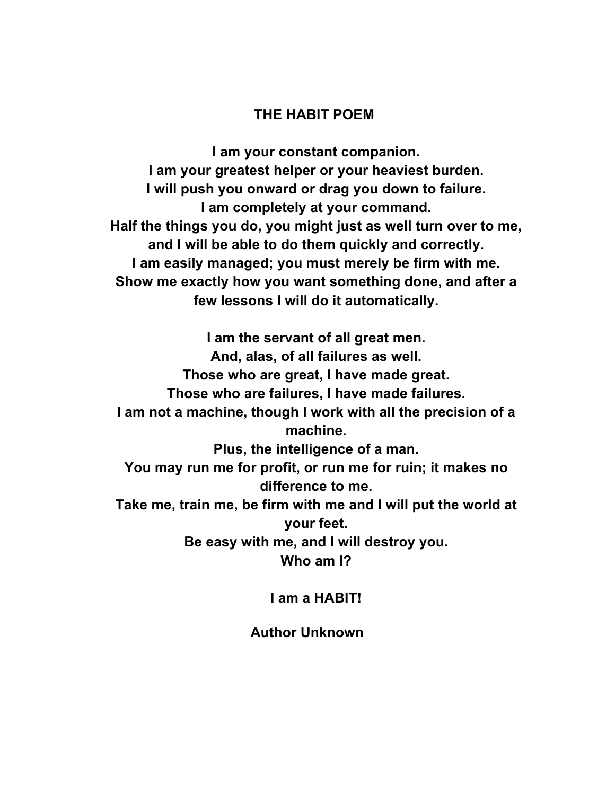## **THE HABIT POEM**

**I am your constant companion. I am your greatest helper or your heaviest burden. I will push you onward or drag you down to failure. I am completely at your command. Half the things you do, you might just as well turn over to me, and I will be able to do them quickly and correctly. I am easily managed; you must merely be firm with me. Show me exactly how you want something done, and after a few lessons I will do it automatically.**

**I am the servant of all great men. And, alas, of all failures as well. Those who are great, I have made great. Those who are failures, I have made failures. I am not a machine, though I work with all the precision of a machine. Plus, the intelligence of a man. You may run me for profit, or run me for ruin; it makes no difference to me. Take me, train me, be firm with me and I will put the world at your feet. Be easy with me, and I will destroy you. Who am I?**

**I am a HABIT!**

**Author Unknown**